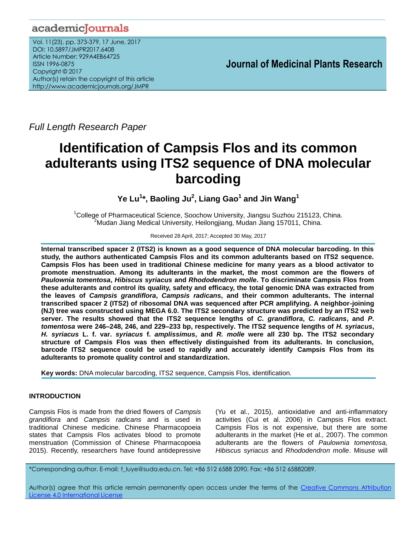# academicJournals

Vol. 11(23), pp. 373-379, 17 June, 2017 DOI: 10.5897/JMPR2017.6408 Article Number: 929A4EB64725 ISSN 1996-0875 Copyright © 2017 Author(s) retain the copyright of this article http://www.academicjournals.org/JMPR

 **Journal of Medicinal Plants Research**

*Full Length Research Paper*

# **Identification of Campsis Flos and its common adulterants using ITS2 sequence of DNA molecular barcoding**

**Ye Lu<sup>1</sup> \*, Baoling Ju<sup>2</sup> , Liang Gao<sup>1</sup> and Jin Wang<sup>1</sup>**

<sup>1</sup>College of Pharmaceutical Science, Soochow University, Jiangsu Suzhou 215123, China. <sup>2</sup>Mudan Jiang Medical University, Heilongjiang, Mudan Jiang 157011, China.

Received 28 April, 2017; Accepted 30 May, 2017

**Internal transcribed spacer 2 (ITS2) is known as a good sequence of DNA molecular barcoding. In this study, the authors authenticated Campsis Flos and its common adulterants based on ITS2 sequence. Campsis Flos has been used in traditional Chinese medicine for many years as a blood activator to promote menstruation. Among its adulterants in the market, the most common are the flowers of**  *Paulownia tomentosa***,** *Hibiscus syriacus* **and** *Rhododendron molle***. To discriminate Campsis Flos from these adulterants and control its quality, safety and efficacy, the total genomic DNA was extracted from the leaves of** *Campsis grandiflora***,** *Campsis radicans***, and their common adulterants. The internal transcribed spacer 2 (ITS2) of ribosomal DNA was sequenced after PCR amplifying. A neighbor-joining (NJ) tree was constructed using MEGA 6.0. The ITS2 secondary structure was predicted by an ITS2 web server. The results showed that the ITS2 sequence lengths of** *C. grandiflora***,** *C. radicans***, and** *P. tomentosa* **were 246–248, 246, and 229–233 bp, respectively. The ITS2 sequence lengths of** *H. syriacus***,**  *H. syriacus* **L. f. var.** *syriacus* **f.** *amplissimus***, and** *R. molle* **were all 230 bp. The ITS2 secondary structure of Campsis Flos was then effectively distinguished from its adulterants. In conclusion, barcode ITS2 sequence could be used to rapidly and accurately identify Campsis Flos from its adulterants to promote quality control and standardization.**

**Key words:** DNA molecular barcoding, ITS2 sequence, Campsis Flos, identification.

## **INTRODUCTION**

Campsis Flos is made from the dried flowers of *Campsis grandiflora* and *Campsis radicans* and is used in traditional Chinese medicine. Chinese Pharmacopoeia states that Campsis Flos activates blood to promote menstruation (Commission of Chinese Pharmacopoeia 2015). Recently, researchers have found antidepressive (Yu et al., 2015), antioxidative and anti-inflammatory activities (Cui et al. 2006) in Campsis Flos extract. Campsis Flos is not expensive, but there are some adulterants in the market (He et al., 2007). The common adulterants are the flowers of *Paulownia tomentosa, Hibiscus syriacus* and *Rhododendron molle*. Misuse will

\*Corresponding author. E-mail: t\_luye@suda.edu.cn. Tel: +86 512 6588 2090. Fax: +86 512 65882089.

Author(s) agree that this article remain permanently open access under the terms of the Creative Commons Attribution License 4.0 [International](http://creativecommons.org/licenses/by/4.0/deed.en_US) License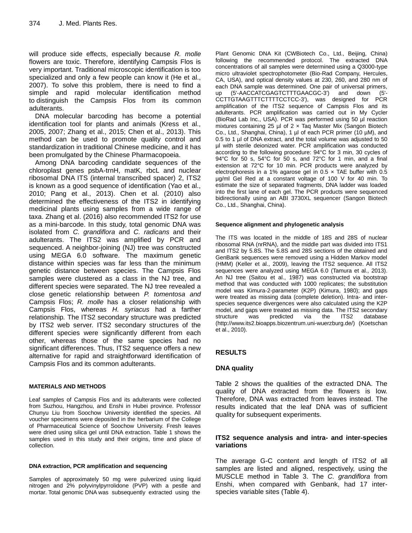will produce side effects, especially because *R. molle*  flowers are toxic. Therefore, identifying Campsis Flos is very important. Traditional microscopic identification is too specialized and only a few people can know it (He et al., 2007). To solve this problem, there is need to find a simple and rapid molecular identification method to distinguish the Campsis Flos from its common adulterants.

DNA molecular barcoding has become a potential identification tool for plants and animals (Kress et al., 2005, 2007; Zhang et al., 2015; Chen et al., 2013). This method can be used to promote quality control and standardization in traditional Chinese medicine, and it has been promulgated by the Chinese Pharmacopoeia.

Among DNA barcoding candidate sequences of the chloroplast genes psbA-trnH, matK, rbcL and nuclear ribosomal DNA ITS (internal transcribed spacer) 2, ITS2 is known as a good sequence of identification (Yao et al., 2010; Pang et al., 2013). Chen et al. (2010) also determined the effectiveness of the ITS2 in identifying medicinal plants using samples from a wide range of taxa. Zhang et al. (2016) also recommended ITS2 for use as a mini-barcode. In this study, total genomic DNA was isolated from *C. grandiflora* and *C. radicans* and their adulterants. The ITS2 was amplified by PCR and sequenced. A neighbor-joining (NJ) tree was constructed using MEGA 6.0 software. The maximum genetic distance within species was far less than the minimum genetic distance between species. The Campsis Flos samples were clustered as a class in the NJ tree, and different species were separated. The NJ tree revealed a close genetic relationship between *P. tomentosa and*  Campsis Flos; *R. molle* has a closer relationship with Campsis Flos, whereas *H. syriacus* had a farther relationship*.* The ITS2 secondary structure was predicted by ITS2 web server. ITS2 secondary structures of the different species were significantly different from each other, whereas those of the same species had no significant differences. Thus, ITS2 sequence offers a new alternative for rapid and straightforward identification of Campsis Flos and its common adulterants.

#### **MATERIALS AND METHODS**

Leaf samples of Campsis Flos and its adulterants were collected from Suzhou, Hangzhou, and Enshi in Hubei province. Professor Chunyu Liu from Soochow University identified the species. All voucher specimens were deposited in the herbarium of the College of Pharmaceutical Science of Soochow University. Fresh leaves were dried using silica gel until DNA extraction. Table 1 shows the samples used in this study and their origins, time and place of collection.

#### **DNA extraction, PCR amplification and sequencing**

Samples of approximately 50 mg were pulverized using liquid nitrogen and 2% polyvinylpyrrolidone (PVP) with a pestle and mortar. Total genomic DNA was subsequently extracted using the

Plant Genomic DNA Kit (CWBiotech Co., Ltd., Beijing, China) following the recommended protocol. The extracted DNA concentrations of all samples were determined using a Q3000-type micro ultraviolet spectrophotometer (Bio-Rad Company, Hercules, CA, USA), and optical density values at 230, 260, and 280 nm of each DNA sample was determined. One pair of universal primers, up (5'-AACCATCGAGTCTTTGAACGC-3') and down (5'- CCTTGTAAGTTTCTTTTCCTCC-3'), was designed for PCR amplification of the ITS2 sequence of Campsis Flos and its adulterants. PCR amplification was carried out in My Cycler (BioRad Lab Inc., USA). PCR was performed using 50 µl reaction mixtures containing 25  $\mu$ l of 2 x Taq Master Mix (Sangon Biotech Co., Ltd., Shanghai, China), 1 µl of each PCR primer (10 µM), and 0.5 to 1 µl of DNA extract, and the total volume was adjusted to 50 µl with sterile deionized water. PCR amplification was conducted according to the following procedure: 94°C for 3 min, 30 cycles of 94°C for 50 s, 54°C for 50 s, and 72°C for 1 min, and a final extension at 72°C for 10 min. PCR products were analyzed by electrophoresis in a 1% agarose gel in  $0.5 \times$  TAE buffer with  $0.5$ µg/ml Gel Red at a constant voltage of 100 V for 40 min. To estimate the size of separated fragments, DNA ladder was loaded into the first lane of each gel. The PCR products were sequenced bidirectionally using an ABI 3730XL sequencer (Sangon Biotech Co., Ltd., Shanghai, China).

#### **Sequence alignment and phylogenetic analysis**

The ITS was located in the middle of 18S and 28S of nuclear ribosomal RNA (nrRNA), and the middle part was divided into ITS1 and ITS2 by 5.8S. The 5.8S and 28S sections of the obtained and GenBank sequences were removed using a Hidden Markov model (HMM) (Keller et al., 2009), leaving the ITS2 sequence. All ITS2 sequences were analyzed using MEGA 6.0 (Tamura et al., 2013). An NJ tree (Saitou et al., 1987) was constructed via bootstrap method that was conducted with 1000 replicates; the substitution model was Kimura-2-parameter (K2P) (Kimura, 1980); and gaps were treated as missing data (complete deletion). Intra- and interspecies sequence divergences were also calculated using the K2P model, and gaps were treated as missing data. The ITS2 secondary structure was predicted via the ITS2 database [\(http://www.its2.bioapps.biozentrum.uni-wuerzburg.de/\)](http://www.its2.bioapps.biozentrum./) (Koetschan et al., 2010).

#### **RESULTS**

#### **DNA quality**

Table 2 shows the qualities of the extracted DNA. The quality of DNA extracted from the flowers is low. Therefore, DNA was extracted from leaves instead. The results indicated that the leaf DNA was of sufficient quality for subsequent experiments.

#### **ITS2 sequence analysis and intra- and inter-species variations**

The average G-C content and length of ITS2 of all samples are listed and aligned, respectively, using the MUSCLE method in Table 3. The *C. grandiflora* from Enshi, when compared with Genbank, had 17 interspecies variable sites (Table 4).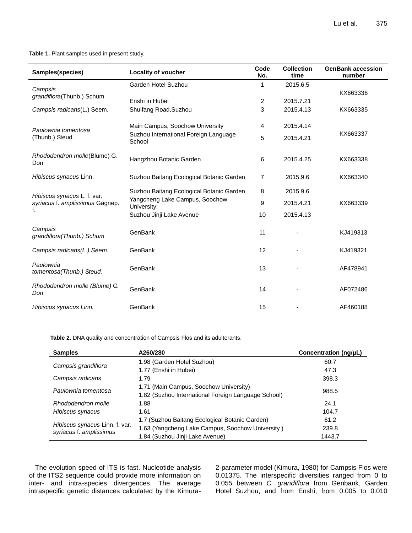#### **Table 1.** Plant samples used in present study.

| Samples(species)                      | <b>Locality of voucher</b>                      | Code<br>No.    | <b>Collection</b><br>time | <b>GenBank accession</b><br>number |  |  |
|---------------------------------------|-------------------------------------------------|----------------|---------------------------|------------------------------------|--|--|
| Campsis                               | Garden Hotel Suzhou                             | 1              | 2015.6.5                  | KX663336                           |  |  |
| grandiflora(Thunb.) Schum             | Enshi in Hubei                                  | $\overline{c}$ | 2015.7.21                 |                                    |  |  |
| Campsis radicans(L.) Seem.            | Shuifang Road, Suzhou                           | 3              | 2015.4.13                 | KX663335                           |  |  |
| Paulownia tomentosa                   | Main Campus, Soochow University                 | $\overline{4}$ | 2015.4.14                 |                                    |  |  |
| (Thunb.) Steud.                       | Suzhou International Foreign Language<br>School | 5              | 2015.4.21                 | KX663337                           |  |  |
| Rhododendron molle(Blume) G.<br>Don   | Hangzhou Botanic Garden                         | 6              | 2015.4.25                 | KX663338                           |  |  |
| Hibiscus syriacus Linn.               | Suzhou Baitang Ecological Botanic Garden        | $\overline{7}$ | 2015.9.6                  | KX663340                           |  |  |
| Hibiscus syriacus L. f. var.          | Suzhou Baitang Ecological Botanic Garden        | 8              | 2015.9.6                  |                                    |  |  |
| syriacus f. amplissimus Gagnep.       | Yangcheng Lake Campus, Soochow<br>University;   | 9              | 2015.4.21                 | KX663339                           |  |  |
| f.                                    | Suzhou Jinji Lake Avenue                        | 10             | 2015.4.13                 |                                    |  |  |
| Campsis<br>grandiflora(Thunb.) Schum  | GenBank                                         | 11             |                           | KJ419313                           |  |  |
| Campsis radicans(L.) Seem.            | GenBank                                         | 12             |                           | KJ419321                           |  |  |
| Paulownia<br>tomentosa(Thunb.) Steud. | GenBank                                         | 13             |                           | AF478941                           |  |  |
| Rhododendron molle (Blume) G.<br>Don  | GenBank                                         | 14             |                           | AF072486                           |  |  |
| Hibiscus syriacus Linn.               | GenBank                                         | 15             |                           | AF460188                           |  |  |

**Table 2.** DNA quality and concentration of Campsis Flos and its adulterants.

| <b>Samples</b>                                             | A260/280                                            | Concentration (ng/µL) |
|------------------------------------------------------------|-----------------------------------------------------|-----------------------|
|                                                            | 1.98 (Garden Hotel Suzhou)                          | 60.7                  |
| Campsis grandiflora                                        | 1.77 (Enshi in Hubei)                               | 47.3                  |
| Campsis radicans                                           | 1.79                                                | 398.3                 |
| Paulownia tomentosa                                        | 1.71 (Main Campus, Soochow University)              |                       |
|                                                            | 1.82 (Suzhou International Foreign Language School) | 988.5                 |
| Rhododendron molle                                         | 1.88                                                | 24.1                  |
| Hibiscus syriacus                                          | 1.61                                                | 104.7                 |
|                                                            | 1.7 (Suzhou Baitang Ecological Botanic Garden)      | 61.2                  |
| Hibiscus syriacus Linn. f. var.<br>syriacus f. amplissimus | 1.63 (Yangcheng Lake Campus, Soochow University)    | 239.8                 |
|                                                            | 1.84 (Suzhou Jinji Lake Avenue)                     | 1443.7                |

The evolution speed of ITS is fast. Nucleotide analysis of the ITS2 sequence could provide more information on inter- and intra-species divergences. The average intraspecific genetic distances calculated by the Kimura-

2-parameter model (Kimura, 1980) for Campsis Flos were 0.01375. The interspecific diversities ranged from 0 to 0.055 between *C. grandiflora* from Genbank, Garden Hotel Suzhou, and from Enshi; from 0.005 to 0.010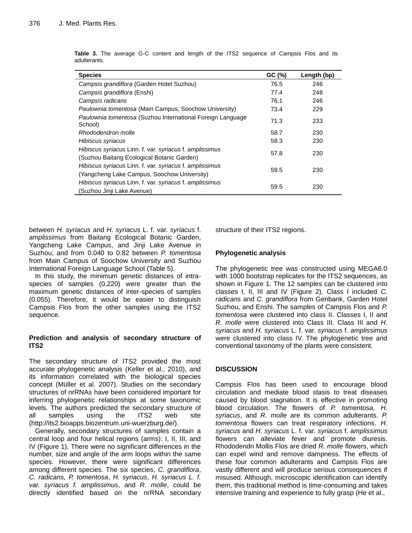| <b>Species</b>                                                                                         | GC (%) | Length (bp) |
|--------------------------------------------------------------------------------------------------------|--------|-------------|
| Campsis grandiflora (Garden Hotel Suzhou)                                                              | 76.5   | 246         |
| Campsis grandiflora (Enshi)                                                                            | 77.4   | 248         |
| Campsis radicans                                                                                       | 76.1   | 246         |
| Paulownia tomentosa (Main Campus, Soochow University)                                                  | 73.4   | 229         |
| Paulownia tomentosa (Suzhou International Foreign Language<br>School)                                  | 71.3   | 233         |
| Rhododendron molle                                                                                     | 58.7   | 230         |
| Hibiscus syriacus                                                                                      | 58.3   | 230         |
| Hibiscus syriacus Linn. f. var. syriacus f. amplissimus<br>(Suzhou Baitang Ecological Botanic Garden)  | 57.8   | 230         |
| Hibiscus syriacus Linn. f. var. syriacus f. amplissimus<br>(Yangcheng Lake Campus, Soochow University) | 59.5   | 230         |
| Hibiscus syriacus Linn. f. var. syriacus f. amplissimus<br>(Suzhou Jinji Lake Avenue)                  | 59.5   | 230         |

**Table 3.** The average G-C content and length of the ITS2 sequence of Campsis Flos and its adulterants.

between *H. syriacus* and *H. syriacus* L. f. var. *syriacus* f. *amplissimus* from Baitang Ecological Botanic Garden, Yangcheng Lake Campus, and Jinji Lake Avenue in Suzhou; and from 0.040 to 0.82 between *P. tomentosa* from Main Campus of Soochow University and Suzhou International Foreign Language School (Table 5).

In this study, the minimum genetic distances of intraspecies of samples (0.220) were greater than the maximum genetic distances of inter-species of samples (0.055). Therefore, it would be easier to distinguish Campsis Flos from the other samples using the ITS2 sequence.

#### **Prediction and analysis of secondary structure of ITS2**

The secondary structure of ITS2 provided the most accurate phylogenetic analysis (Keller et al., 2010), and its information correlated with the biological species concept (Müller et al. 2007). Studies on the secondary structures of nrRNAs have been considered important for inferring phylogenetic relationships at some taxonomic levels. The authors predicted the secondary structure of all samples using the ITS2 web site [\(http://its2.bioapps.biozentrum.uni-wuerzburg.de/\)](http://its2.bioapps.biozentrum.uni-wuerzburg.de/).

Generally, secondary structures of samples contain a central loop and four helical regions (arms): I, II, III, and IV (Figure 1). There were no significant differences in the number, size and angle of the arm loops within the same species. However, there were significant differences among different species. The six species, *C. grandiflora*, *C. radicans, P. tomentosa*, *H. syriacus*, *H. syriacus L. f. var. syriacus f. amplissimus*, and *R. molle*, could be directly identified based on the nrRNA secondary structure of their ITS2 regions.

# **Phylogenetic analysis**

The phylogenetic tree was constructed using MEGA6.0 with 1000 bootstrap replicates for the ITS2 sequences, as shown in Figure 1. The 12 samples can be clustered into classes I, II, III and IV (Figure 2). Class I included *C. radicans* and *C. grandiflora* from Genbank, Garden Hotel Suzhou, and Enshi. The samples of Campsis Flos and *P. tomentosa* were clustered into class II. Classes I, II and *R. molle* were clustered into Class III. Class III and *H. syriacus* and *H. syriacus* L. f. var. *syriacus* f. *amplissimus*  were clustered into class IV. The phylogenetic tree and conventional taxonomy of the plants were consistent.

## **DISCUSSION**

Campsis Flos has been used to encourage blood circulation and mediate blood stasis to treat diseases caused by blood stagnation. It is effective in promoting blood circulation. The flowers of *P. tomentosa, H. syriacus*, and *R. molle* are its common adulterants. *P. tomentosa* flowers can treat respiratory infections. *H. syriacus* and *H. syriacus* L. f. var. *syriacus* f. a*mplissimus* flowers can alleviate fever and promote diuresis. Rhododendri Mollis Flos are dried *R. molle* flowers, which can expel wind and remove dampness. The effects of these four common adulterants and Campsis Flos are vastly different and will produce serious consequences if misused. Although, microscopic identification can identify them, this traditional method is time-consuming and takes intensive training and experience to fully grasp (He et al.,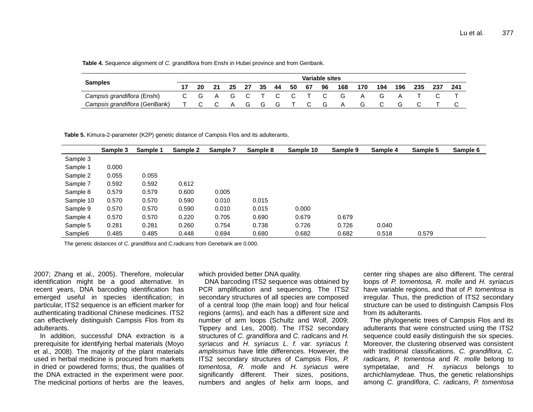**Table 4.** Sequence alignment of *C. grandiflora* from Enshi in Hubei province and from Genbank.

|                               | <b>Variable sites</b> |    |   |    |       |    |    |    |     |    |     |     |     |     |     |  |     |
|-------------------------------|-----------------------|----|---|----|-------|----|----|----|-----|----|-----|-----|-----|-----|-----|--|-----|
| <b>Samples</b>                |                       | 20 |   | 25 | 27    | 35 | 44 | 50 | 67  | 96 | 168 | 170 | 194 | 196 | 235 |  | 241 |
| Campsis grandiflora (Enshi)   |                       | G  | A | G  | C T C |    |    |    | C T |    | G   | A   | G   | A   |     |  |     |
| Campsis grandiflora (GenBank) |                       |    |   |    | G     | G  | G  |    | C   | G  | A   |     |     | G   |     |  |     |

**Table 5.** Kimura-2-parameter (K2P) genetic distance of Campsis Flos and its adulterants.

|                     | Sample 3 | Sample 1 | Sample 2 | Sample 7 | Sample 8 | Sample 10 | Sample 9 | Sample 4 | Sample 5 | Sample 6 |
|---------------------|----------|----------|----------|----------|----------|-----------|----------|----------|----------|----------|
| Sample 3            |          |          |          |          |          |           |          |          |          |          |
| Sample 1            | 0.000    |          |          |          |          |           |          |          |          |          |
| Sample 2            | 0.055    | 0.055    |          |          |          |           |          |          |          |          |
| Sample 7            | 0.592    | 0.592    | 0.612    |          |          |           |          |          |          |          |
| Sample 8            | 0.579    | 0.579    | 0.600    | 0.005    |          |           |          |          |          |          |
| Sample 10           | 0.570    | 0.570    | 0.590    | 0.010    | 0.015    |           |          |          |          |          |
| Sample 9            | 0.570    | 0.570    | 0.590    | 0.010    | 0.015    | 0.000     |          |          |          |          |
| Sample 4            | 0.570    | 0.570    | 0.220    | 0.705    | 0.690    | 0.679     | 0.679    |          |          |          |
| Sample 5            | 0.281    | 0.281    | 0.260    | 0.754    | 0.738    | 0.726     | 0.726    | 0.040    |          |          |
| Sample <sub>6</sub> | 0.485    | 0.485    | 0.448    | 0.694    | 0.680    | 0.682     | 0.682    | 0.518    | 0.579    |          |

The genetic distances of *C. grandiflora* and *C.radicans* from Genebank are 0.000.

2007; Zhang et al., 2005). Therefore, molecular identification might be a good alternative. In recent years, DNA barcoding identification has emerged useful in species identification; in particular, ITS2 sequence is an efficient marker for authenticating traditional Chinese medicines. ITS2 can effectively distinguish Campsis Flos from its adulterants.

In addition, successful DNA extraction is a prerequisite for identifying herbal materials (Moyo et al., 2008). The majority of the plant materials used in herbal medicine is procured from markets in dried or powdered forms; thus, the qualities of the DNA extracted in the experiment were poor. The medicinal portions of herbs are the leaves, which provided better DNA quality.

DNA barcoding ITS2 sequence was obtained by PCR amplification and sequencing. The ITS2 secondary structures of all species are composed of a central loop (the main loop) and four helical regions (arms), and each has a different size and number of arm loops (Schultz and Wolf, 2009; Tippery and Les, 2008). The ITS2 secondary structures of *C. grandiflora* and *C. radicans* and *H. syriacus* and *H. syriacus L. f. var. syriacus f. amplissimus* have little differences. However, the ITS2 secondary structures of Campsis Flos, *P. tomentosa*, *R. molle* and *H. syriacus* were significantly different. Their sizes, positions, numbers and angles of helix arm loops, and

center ring shapes are also different. The central loops of *P. tomentosa, R. molle* and *H. syriacus*  have variable regions, and that of *P. tomentosa* is irregular. Thus, the prediction of ITS2 secondary structure can be used to distinguish Campsis Flos from its adulterants.

The phylogenetic trees of Campsis Flos and its adulterants that were constructed using the ITS2 sequence could easily distinguish the six species. Moreover, the clustering observed was consistent with traditional classifications. *C. grandiflora, C. radicans, P. tomentosa* and *R. molle* belong to sympetalae, and *H. syriacus* belongs to archichlamydeae. Thus, the genetic relationships among *C. grandiflora*, *C. radicans*, *P. tomentosa*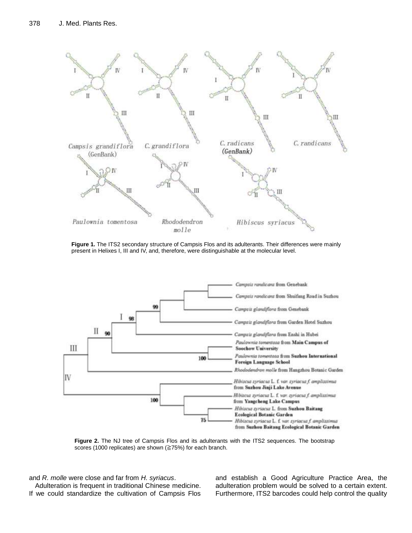

**Figure 1.** The ITS2 secondary structure of Campsis Flos and its adulterants. Their differences were mainly present in Helixes I, III and IV, and, therefore, were distinguishable at the molecular level.



**Figure 2.** The NJ tree of Campsis Flos and its adulterants with the ITS2 sequences. The bootstrap scores (1000 replicates) are shown (≧75%) for each branch.

and *R. molle* were close and far from *H. syriacus*. Adulteration is frequent in traditional Chinese medicine. If we could standardize the cultivation of Campsis Flos and establish a Good Agriculture Practice Area, the adulteration problem would be solved to a certain extent. Furthermore, ITS2 barcodes could help control the quality